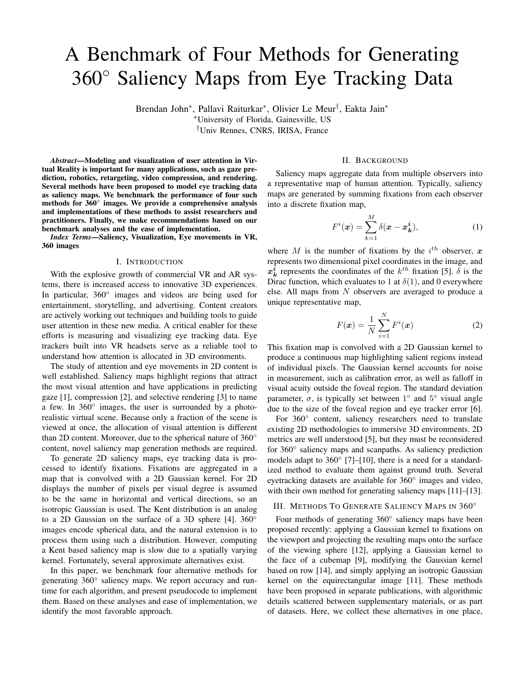# A Benchmark of Four Methods for Generating 360◦ Saliency Maps from Eye Tracking Data

Brendan John<sup>∗</sup> , Pallavi Raiturkar<sup>∗</sup> , Olivier Le Meur† , Eakta Jain<sup>∗</sup>

<sup>∗</sup>University of Florida, Gainesville, US

†Univ Rennes, CNRS, IRISA, France

*Abstract*—Modeling and visualization of user attention in Virtual Reality is important for many applications, such as gaze prediction, robotics, retargeting, video compression, and rendering. Several methods have been proposed to model eye tracking data as saliency maps. We benchmark the performance of four such methods for 360° images. We provide a comprehensive analysis and implementations of these methods to assist researchers and practitioners. Finally, we make recommendations based on our benchmark analyses and the ease of implementation.

*Index Terms*—Saliency, Visualization, Eye movements in VR, 360 images

#### I. INTRODUCTION

With the explosive growth of commercial VR and AR systems, there is increased access to innovative 3D experiences. In particular, 360° images and videos are being used for entertainment, storytelling, and advertising. Content creators are actively working out techniques and building tools to guide user attention in these new media. A critical enabler for these efforts is measuring and visualizing eye tracking data. Eye trackers built into VR headsets serve as a reliable tool to understand how attention is allocated in 3D environments.

The study of attention and eye movements in 2D content is well established. Saliency maps highlight regions that attract the most visual attention and have applications in predicting gaze [1], compression [2], and selective rendering [3] to name a few. In 360° images, the user is surrounded by a photorealistic virtual scene. Because only a fraction of the scene is viewed at once, the allocation of visual attention is different than 2D content. Moreover, due to the spherical nature of 360◦ content, novel saliency map generation methods are required.

To generate 2D saliency maps, eye tracking data is processed to identify fixations. Fixations are aggregated in a map that is convolved with a 2D Gaussian kernel. For 2D displays the number of pixels per visual degree is assumed to be the same in horizontal and vertical directions, so an isotropic Gaussian is used. The Kent distribution is an analog to a 2D Gaussian on the surface of a 3D sphere [4]. 360◦ images encode spherical data, and the natural extension is to process them using such a distribution. However, computing a Kent based saliency map is slow due to a spatially varying kernel. Fortunately, several approximate alternatives exist.

In this paper, we benchmark four alternative methods for generating 360° saliency maps. We report accuracy and runtime for each algorithm, and present pseudocode to implement them. Based on these analyses and ease of implementation, we identify the most favorable approach.

### II. BACKGROUND

Saliency maps aggregate data from multiple observers into a representative map of human attention. Typically, saliency maps are generated by summing fixations from each observer into a discrete fixation map,

$$
F^{i}(\boldsymbol{x}) = \sum_{k=1}^{M} \delta(\boldsymbol{x} - \boldsymbol{x}_{k}^{i}),
$$
 (1)

where M is the number of fixations by the  $i^{th}$  observer, x represents two dimensional pixel coordinates in the image, and  $x_k^i$  represents the coordinates of the  $k^{th}$  fixation [5].  $\delta$  is the Dirac function, which evaluates to 1 at  $\delta(1)$ , and 0 everywhere else. All maps from N observers are averaged to produce a unique representative map,

$$
F(\boldsymbol{x}) = \frac{1}{N} \sum_{i=1}^{N} F^{i}(\boldsymbol{x})
$$
 (2)

This fixation map is convolved with a 2D Gaussian kernel to produce a continuous map highlighting salient regions instead of individual pixels. The Gaussian kernel accounts for noise in measurement, such as calibration error, as well as falloff in visual acuity outside the foveal region. The standard deviation parameter,  $\sigma$ , is typically set between  $1^{\circ}$  and  $5^{\circ}$  visual angle due to the size of the foveal region and eye tracker error [6].

For 360° content, saliency researchers need to translate existing 2D methodologies to immersive 3D environments. 2D metrics are well understood [5], but they must be reconsidered for 360◦ saliency maps and scanpaths. As saliency prediction models adapt to 360◦ [7]–[10], there is a need for a standardized method to evaluate them against ground truth. Several eyetracking datasets are available for 360◦ images and video, with their own method for generating saliency maps [11]–[13].

#### III. METHODS T<sup>O</sup> GENERATE SALIENCY MAPS IN 360◦

Four methods of generating 360° saliency maps have been proposed recently: applying a Gaussian kernel to fixations on the viewport and projecting the resulting maps onto the surface of the viewing sphere [12], applying a Gaussian kernel to the face of a cubemap [9], modifying the Gaussian kernel based on row [14], and simply applying an isotropic Gaussian kernel on the equirectangular image [11]. These methods have been proposed in separate publications, with algorithmic details scattered between supplementary materials, or as part of datasets. Here, we collect these alternatives in one place,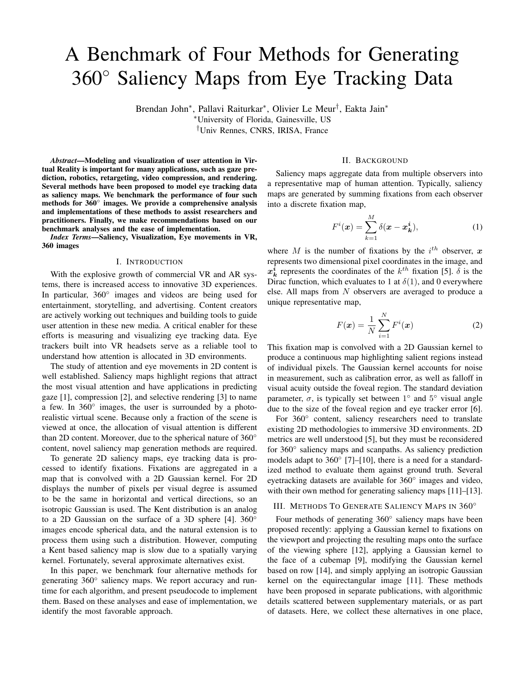clarify algorithmic details, and benchmark their performance using a Kent distribution based method as ground truth. We briefly summarize and present pseudocode for the Kent based method, and the four approximate methods. For each method the output is a saliency map,  $S$ , that is then normalized such that all of the values sum to one. A square kernel is used for ease of implementation, with  $kernel\_size$  set to 12 times the number of pixels per degree rounded up to an odd number. This size is larger than usual to ensure that all non-zero values are included. Helper functions are defined in the Appendix.

*Kent Distribution:* The Kent distribution is an isotropic bivariate normal distribution defined on the surface of a three dimensional unit sphere [4]. While the complete 5 parameter distribution is anisotropic, we use the simplified isotropic form. The probability density function  $f$  is defined as

$$
f(\vec{x}, \kappa, \vec{\gamma}) = \frac{\kappa e^{\kappa \vec{\gamma} \cdot \vec{x}}}{4\pi \sinh(\kappa)},
$$
\n(3)

where  $\vec{x} \in \mathbb{R}^3$  is an input vector representing a point on the sphere. The parameter  $\kappa > 0$  represents the concentration of the probability density function. The parameter  $\vec{\gamma} \in \mathbb{R}^3$  is the mean direction of the distribution, around which points are normally distributed. Pixels in the equirectangular image x, y map to azimuth and elevation angles  $\theta$ ,  $\phi$ . These angles are converted from spherical coordinates to a 3D vector in cartesian coordinates  $\vec{x}$ . We compute the kernel weights by inputting the pixel neighborhood  $N(x, y, kernel \; size)$  as vectors into f, where  $\vec{\gamma}$  is a vector that represents the current pixel. Due to unequal sampling of the sphere in equirectangular images, the kernel must be recomputed for each row. Input to this method is a fixation map F, and parameter  $\kappa$ .

1: **procedure**  $\text{KENT}(F,\kappa)$ 2: S ← zeros(num rows, num cols) 3: for  $r = 1$  to num rows do  $\Rightarrow$  Parallelizable loop 4:  $\phi \leftarrow \pi |r/num\_rows - 0.5|$ 5:  $\theta \leftarrow 0$   $\triangleright \theta$  is constant 6:  $c = num\_cols/2$   $\triangleright c$  is constant 7:  $\vec{\gamma} \leftarrow sph2cart(\theta, \phi, 1)$ 8:  $K \leftarrow f(N(c, r, kernal \; size), \kappa, \vec{\gamma})$ 9: Normalize K  $\triangleright$  Kernel weights sum to 1 10:  $S_{row} \leftarrow F \sim K \triangleright$  Optimized to only output row r 11:  $S(r) = S_{row}$ 

In a MATLAB implementation we found that using a  $\kappa$ value of 707 or higher produces a result too large to fit in a 64 bit floating point number. Typical values of  $\kappa$  will be larger than this for modeling 1◦ or less of visual angle in saliency map generation. HPF<sup>1</sup> for high precision floating point numbers is needed, which increases the amount of time needed to perform the operations invoked by  $f$ . The following methods either approximate the Kent distribution (modified Gaussian), or operate outside the spherical domain.

*Isotropic Gaussian Method*: For 2D map generation a spatially invariant kernel is used, filtering the image in seconds.

While quick, this computation does not account for distortions in the equirectangular image. Input to this method are a fixation map F, and standard deviation  $\sigma$ .

\n- 1: **procedure** 
$$
IsOTROPIC(F, \sigma)
$$
\n- 2:  $G_{\sigma} \leftarrow 1d\_gaussian(\sigma, kernal\_size)$
\n- 3:  $K \leftarrow G_{\sigma} \cdot G_{\sigma}^{T}$
\n- 4:  $S \leftarrow F \sim K$   $\triangleright$   $\sim$  indicates 2D convolution
\n

*Modified Gaussian Method*: Upenik & Ebrahimi [14] introduce a modified Gaussian kernel that accounts for equirectangular distortions near the poles. A scale factor of  $\frac{1}{\cos \phi}$  is computed for each elevation angle  $\phi$ , to stretch an isotropic Gaussian kernel horizontally. A bivariate Gaussian kernel is computed for each row as the matrix product

$$
K = G_{\sigma_{\mathbf{y}}} \cdot G_{\sigma_{\mathbf{x}}}^T,\tag{4}
$$

where  $G_{\sigma_y}$  is a column vector representing a 1D Gaussian with standard deviation  $\sigma_y$  in pixels, and  $G_{\sigma_x}^T$  is a row vector representing a 1D Gaussian where  $\sigma_x = \frac{\partial y}{\partial \rho}$ . This method applies a different filter at each row, requiring many 2D convolutions. This method has a similar runtime and structure to the Kent distribution, but is much easier to implement.

|    | 1: <b>procedure</b> MODIFIEDGAUSSIAN( $F,\sigma$ )                               |
|----|----------------------------------------------------------------------------------|
| 2: | $S \leftarrow zeros(num\_rows, num\_cols)$                                       |
| 3: | <b>for</b> $r = 1$ to $num\_rows$ <b>do</b> $\triangleright$ Parallelizable loop |
| 4: | $\phi \leftarrow \pi  r/num\_rows - 0.5 $                                        |
| 5: | $G_{\sigma} \leftarrow 1d\_gaussian(\sigma, kernal\_size)$                       |
| 6: | $G_{\sigma x} \leftarrow 1d\_gaussian(\sigma/cos\phi, kernal\_size)$             |
| 7: | $K \leftarrow G_{\sigma_v} \cdot G_{\sigma_v}^T$                                 |
| 8: | $S_{row} \leftarrow F \sim K \triangleright$ Optimized to only output row r      |
| 9: | $S(r) = S_{row}$                                                                 |
|    |                                                                                  |

*Cubemap Method*: Cubemaps reduce image distortions by projecting the spherical image onto cube faces representing perspective views from within the sphere. This format allows each face to be filtered with an isotropic Gaussian, but introduces discontinuities at the borders. To reduce this effect, cubes at two orientations are aligned and combined in equirectangular format to generate one representative map for the image. Weights  $W_1$  and  $W_2$  are applied with an elementwise multiplication to reduce the contribution of pixels near the edges of each face, as described by [9]. Transforming high resolution images between formats is time consuming, and the method does not completely remove border discontinuities.

1: **procedure** CUBEMAP( $F,\sigma$ ) 2:  $F_{rot} \leftarrow rotatesphereXYZ(F, \frac{pi}{4}, 0, \frac{pi}{4})$ 3:  $G_{\sigma} \leftarrow 1d\_gaussian(\sigma, kernal\_size)$ 4:  $K \leftarrow G_{\sigma} \cdot G_{\sigma}^{T}$ 5:  $Cube_1 \leftarrow equirect2cube(F) \sim K$ 6:  $Cube_2 \leftarrow equirect2cube(F_{rot}) \sim K$ 7:  $S_1 \leftarrow cube2equirect(Cube_1)$ 8:  $S_2 \leftarrow cube2equirect(Cube_2)$ 9:  $S \leftarrow W_1.*S_1+W_2.*S_2$ 

*Viewport Method*: 360◦ content is realized as a projection of the spherical image onto a viewport determined by the observer's head orientation. A Gaussian kernel can then be

<sup>1</sup>https://www.mathworks.com/matlabcentral/fileexchange/36534-hpf-a-bigdecimal-class